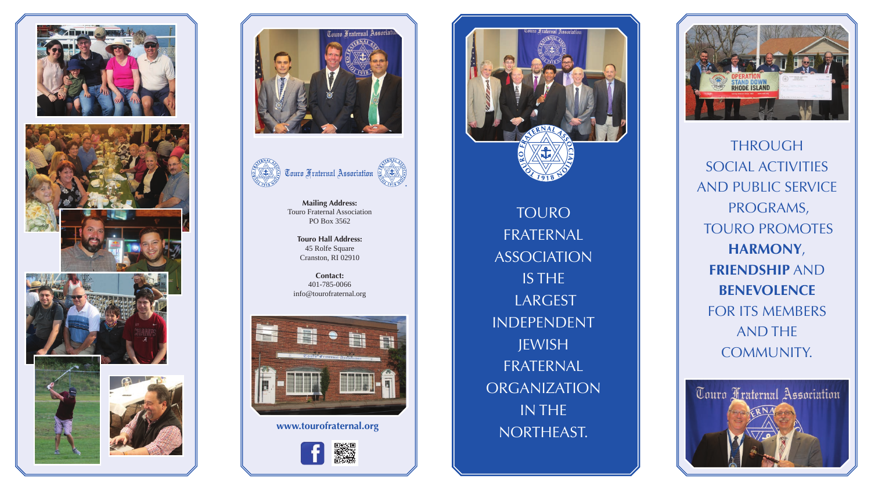





**Mailing Address:** Touro Fraternal Association PO Box 3562

TOURO FRATERNAL ASSOCIATION IS THE LARGEST INDEPENDENT JEWISH FRATERNAL **ORGANIZATION** IN THE www.tourofraternal.org **NORTHEAST.** 



**Touro Hall Address:** 45 Rolfe Square Cranston, RI 02910

**Contact:**  401-785-0066 info@tourofraternal.org



Solomon  $\mathbf{f}$ 



THROUGH SOCIAL ACTIVITIES AND PUBLIC SERVICE PROGRAMS, TOURO PROMOTES **HARMONY**, **FRIENDSHIP** AND **BENEVOLENCE**  FOR ITS MEMBERS AND THE COMMUNITY.